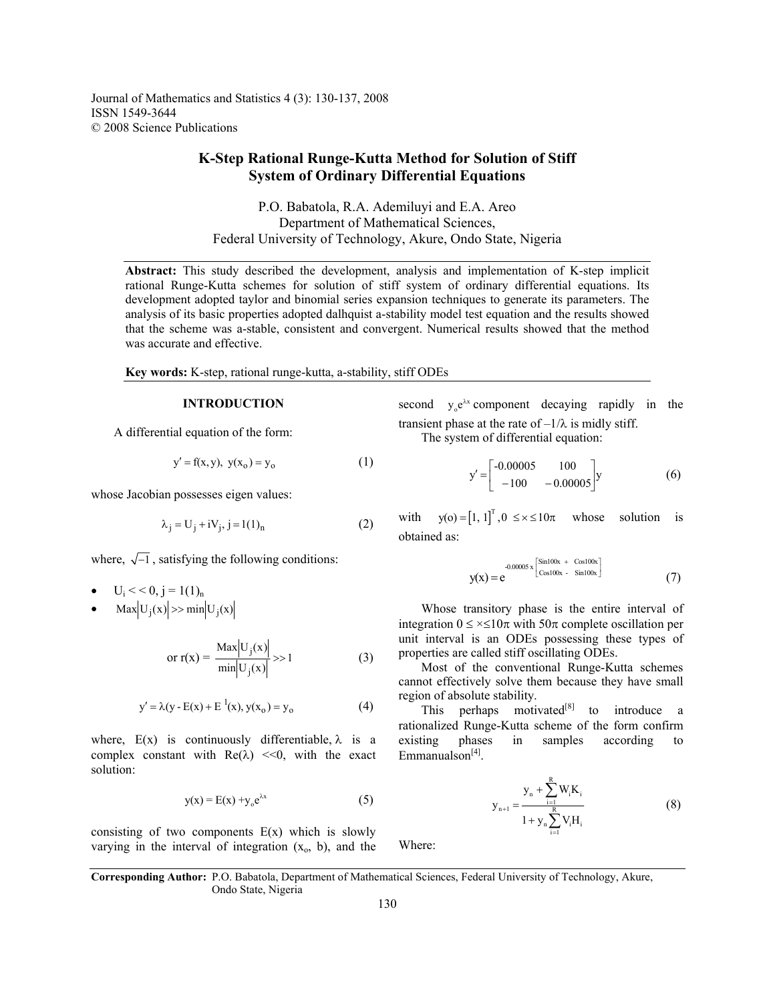Journal of Mathematics and Statistics 4 (3): 130-137, 2008 ISSN 1549-3644 © 2008 Science Publications

# **K-Step Rational Runge-Kutta Method for Solution of Stiff System of Ordinary Differential Equations**

P.O. Babatola, R.A. Ademiluyi and E.A. Areo Department of Mathematical Sciences, Federal University of Technology, Akure, Ondo State, Nigeria

**Abstract:** This study described the development, analysis and implementation of K-step implicit rational Runge-Kutta schemes for solution of stiff system of ordinary differential equations. Its development adopted taylor and binomial series expansion techniques to generate its parameters. The analysis of its basic properties adopted dalhquist a-stability model test equation and the results showed that the scheme was a-stable, consistent and convergent. Numerical results showed that the method was accurate and effective.

**Key words:** K-step, rational runge-kutta, a-stability, stiff ODEs

## **INTRODUCTION**

A differential equation of the form:

$$
y' = f(x, y), \ y(x_0) = y_0 \tag{1}
$$

whose Jacobian possesses eigen values:

$$
\lambda_j = U_j + iV_j, j = 1(1)_n
$$
 (2)

where,  $\sqrt{-1}$ , satisfying the following conditions:

- $U_i \leq C$ ,  $j = 1(1)_n$
- $\text{Max} |U_j(x)| \gg \min |U_j(x)|$

$$
\text{or } \mathbf{r}(\mathbf{x}) = \frac{\text{Max}|\mathbf{U}_{j}(\mathbf{x})|}{\min |\mathbf{U}_{j}(\mathbf{x})|} \gg 1 \tag{3}
$$

$$
y' = \lambda(y - E(x) + E^{-1}(x), y(x_0) = y_0
$$
 (4)

where,  $E(x)$  is continuously differentiable,  $\lambda$  is a complex constant with  $\text{Re}(\lambda) \ll 0$ , with the exact solution:

$$
y(x) = E(x) + y_0 e^{\lambda x}
$$
 (5)

consisting of two components  $E(x)$  which is slowly varying in the interval of integration  $(x_0, b)$ , and the

second  $y_0 e^{\lambda x}$  component decaying rapidly in the transient phase at the rate of  $-1/\lambda$  is midly stiff. The system of differential equation:

$$
y' = \begin{bmatrix} -0.00005 & 100 \\ -100 & -0.00005 \end{bmatrix} y \tag{6}
$$

with  $y(0) = [1, 1]^T, 0 \le x \le 10\pi$  whose solution is obtained as:

$$
y(x) = e^{-0.00005 x \left[\frac{\sin 100x + \cos 100x}{\cos 100x - \sin 100x}\right]}
$$
(7)

 Whose transitory phase is the entire interval of integration  $0 \le x \le 10\pi$  with  $50\pi$  complete oscillation per unit interval is an ODEs possessing these types of properties are called stiff oscillating ODEs.

 Most of the conventional Runge-Kutta schemes cannot effectively solve them because they have small region of absolute stability.

This perhaps motivated $[8]$  to introduce a rationalized Runge-Kutta scheme of the form confirm existing phases in samples according to  $Emmanualson<sup>[4]</sup>$ 

$$
y_{n+1} = \frac{y_n + \sum_{i=1}^{R} W_i K_i}{1 + y_n \sum_{i=1}^{R} V_i H_i}
$$
(8)

Where:

**Corresponding Author:** P.O. Babatola, Department of Mathematical Sciences, Federal University of Technology, Akure, Ondo State, Nigeria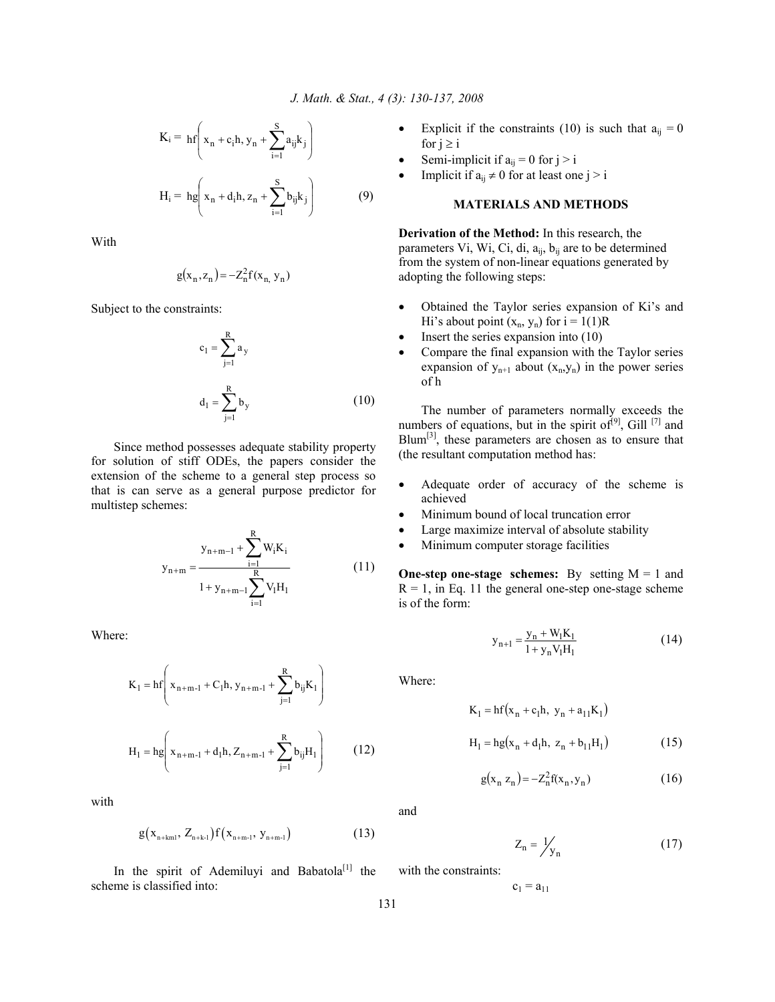$$
K_{i} = hf\left(x_{n} + c_{i}h, y_{n} + \sum_{i=1}^{S} a_{ij}k_{j}\right)
$$
  

$$
H_{i} = hg\left(x_{n} + d_{i}h, z_{n} + \sum_{i=1}^{S} b_{ij}k_{j}\right)
$$
(9)

With

$$
g(x_n, z_n) = -Z_n^2 f(x_n, y_n)
$$

Subject to the constraints:

$$
c_1 = \sum_{j=1}^{R} a_y
$$
  

$$
d_1 = \sum_{j=1}^{R} b_y
$$
 (10)

 Since method possesses adequate stability property for solution of stiff ODEs, the papers consider the extension of the scheme to a general step process so that is can serve as a general purpose predictor for multistep schemes:

$$
y_{n+m} = \frac{y_{n+m-1} + \sum_{i=1}^{R} W_i K_i}{1 + y_{n+m-1} \sum_{i=1}^{R} V_i H_i}
$$
(11)

Where:

$$
K_{1} = hf\left(x_{n+m-1} + C_{1}h, y_{n+m-1} + \sum_{j=1}^{R} b_{ij}K_{1}\right)
$$
  

$$
H_{1} = hg\left(x_{n+m-1} + d_{1}h, Z_{n+m-1} + \sum_{j=1}^{R} b_{ij}H_{1}\right)
$$
 (12)

with

$$
g(x_{n+km1}, Z_{n+kr1}) f(x_{n+m-1}, y_{n+m-1}) \tag{13}
$$

In the spirit of Ademiluyi and Babatola<sup>[1]</sup> the scheme is classified into:

- Explicit if the constraints (10) is such that  $a_{ii} = 0$ for  $j \geq i$
- Semi-implicit if  $a_{ij} = 0$  for  $j > i$
- Implicit if  $a_{ii} \neq 0$  for at least one j > i

## **MATERIALS AND METHODS**

**Derivation of the Method:** In this research, the parameters Vi, Wi, Ci, di,  $a_{ij}$ ,  $b_{ij}$  are to be determined from the system of non-linear equations generated by adopting the following steps:

- Obtained the Taylor series expansion of Ki's and Hi's about point  $(x_n, y_n)$  for  $i = 1(1)R$
- Insert the series expansion into  $(10)$
- Compare the final expansion with the Taylor series expansion of  $y_{n+1}$  about  $(x_n, y_n)$  in the power series of h

 The number of parameters normally exceeds the numbers of equations, but in the spirit of $[9]$ , Gill  $[7]$  and  $Blum<sup>[3]</sup>$ , these parameters are chosen as to ensure that (the resultant computation method has:

- Adequate order of accuracy of the scheme is achieved
- Minimum bound of local truncation error
- Large maximize interval of absolute stability
- Minimum computer storage facilities

**One-step one-stage schemes:** By setting  $M = 1$  and  $R = 1$ , in Eq. 11 the general one-step one-stage scheme is of the form:

$$
y_{n+1} = \frac{y_n + W_1 K_1}{1 + y_n V_1 H_1}
$$
 (14)

Where:

$$
K_1 = hf(x_n + c_1h, y_n + a_{11}K_1)
$$
  
H<sub>1</sub> = hg(x<sub>n</sub> + d<sub>1</sub>h, z<sub>n</sub> + b<sub>11</sub>H<sub>1</sub>) (15)

$$
g(x_n z_n) = -Z_n^2 f(x_n, y_n)
$$
 (16)

and

with the constraints:

$$
Z_n = \frac{1}{y_n} \tag{17}
$$

$$
c_1 = a_{11}
$$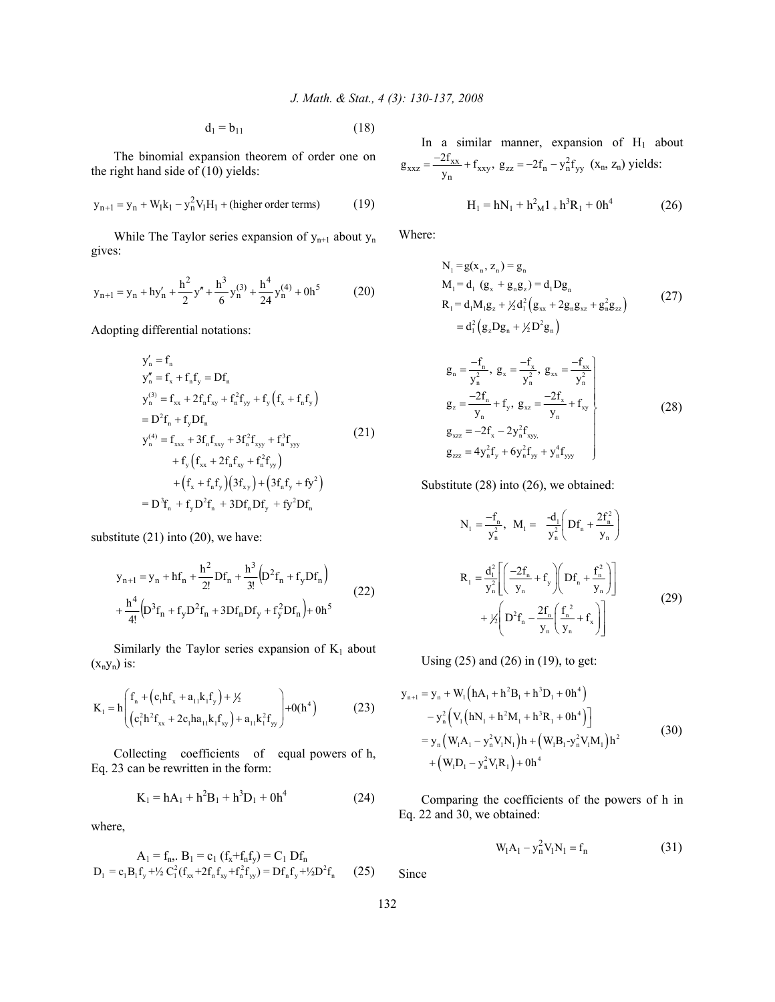$d_1 = b_{11}$  (18)

 The binomial expansion theorem of order one on the right hand side of (10) yields:

$$
y_{n+1} = y_n + W_1 k_1 - y_n^2 V_1 H_1
$$
 + (higher order terms) (19)

While The Taylor series expansion of  $y_{n+1}$  about  $y_n$ gives:

$$
y_{n+1} = y_n + hy'_n + \frac{h^2}{2}y'' + \frac{h^3}{6}y_n^{(3)} + \frac{h^4}{24}y_n^{(4)} + 0h^5
$$
 (20)

Adopting differential notations:

$$
y'_{n} = f_{n}
$$
  
\n
$$
y''_{n} = f_{x} + f_{n}f_{y} = Df_{n}
$$
  
\n
$$
y_{n}^{(3)} = f_{xx} + 2f_{n}f_{xy} + f_{n}^{2}f_{yy} + f_{y}(f_{x} + f_{n}f_{y})
$$
  
\n
$$
= D^{2}f_{n} + f_{y}Df_{n}
$$
  
\n
$$
y_{n}^{(4)} = f_{xxx} + 3f_{n}f_{xxy} + 3f_{n}^{2}f_{xyy} + f_{n}^{3}f_{yyy}
$$
  
\n
$$
+ f_{y}(f_{xx} + 2f_{n}f_{xy} + f_{n}^{2}f_{yy})
$$
  
\n
$$
+ (f_{x} + f_{n}f_{y})(3f_{xy}) + (3f_{n}f_{y} + f_{y}^{2})
$$
  
\n
$$
= D^{3}f_{n} + f_{y}D^{2}f_{n} + 3Df_{n}Df_{y} + f_{y}^{2}Df_{n}
$$

substitute (21) into (20), we have:

$$
y_{n+1} = y_n + hf_n + \frac{h^2}{2!} DF_n + \frac{h^3}{3!} (D^2 f_n + f_y DF_n)
$$
  
+ 
$$
\frac{h^4}{4!} (D^3 f_n + f_y D^2 f_n + 3Df_n DF_y + f_y^2 DF_n) + 0h^5
$$
 (22)

Similarly the Taylor series expansion of  $K_1$  about  $(x_ny_n)$  is:

$$
K_{1} = h \left( f_{n} + (c_{1}hf_{x} + a_{11}k_{1}f_{y}) + \frac{1}{2} \left( c_{1}^{2}h^{2}f_{xx} + 2c_{1}ha_{11}k_{1}f_{xy} \right) + a_{11}k_{1}^{2}f_{yy} \right) + 0(h^{4})
$$
(23)

 Collecting coefficients of equal powers of h, Eq. 23 can be rewritten in the form:

$$
K_1 = hA_1 + h^2B_1 + h^3D_1 + 0h^4
$$
 (24)

where,

$$
A_1 = f_n, B_1 = c_1 (f_x + f_n f_y) = C_1 Df_n
$$
  
\n
$$
D_1 = c_1 B_1 f_y + \frac{1}{2} C_1^2 (f_{xx} + 2f_n f_{xy} + f_n^2 f_{yy}) = Df_n f_y + \frac{1}{2} D^2 f_n
$$
 (25)

In a similar manner, expansion of  $H_1$  about  $_{\text{xxz}} = \frac{-2I_{\text{xx}}}{y_{\text{n}}} + f_{\text{xxy}}, \ g_{\text{zz}} = -2f_{\text{n}} - y_{\text{n}}^2 f_{\text{yy}}$  $g_{xxx} = \frac{-2f_{xx}}{-1} + f_{xxy}$ ,  $g_{zz} = -2f_n - y_n^2 f_{yy}$  (x<sub>n</sub>, z<sub>n</sub>) yields:

$$
H_1 = hN_1 + h^2 M_1 + h^3 R_1 + 0h^4
$$
 (26)

Where:

$$
N_1 = g(x_n, z_n) = g_n
$$
  
\n
$$
M_1 = d_1 (g_x + g_n g_z) = d_1 D g_n
$$
  
\n
$$
R_1 = d_1 M_1 g_z + \frac{1}{2} d_1^2 (g_{xx} + 2 g_n g_{xz} + g_n^2 g_z)
$$
  
\n
$$
= d_1^2 (g_z D g_n + \frac{1}{2} D^2 g_n)
$$
\n(27)

$$
g_{n} = \frac{-f_{n}}{y_{n}^{2}}, g_{x} = \frac{-f_{x}}{y_{n}^{2}}, g_{xx} = \frac{-f_{xx}}{y_{n}^{2}}
$$
  
\n
$$
g_{z} = \frac{-2f_{n}}{y_{n}} + f_{y}, g_{xz} = \frac{-2f_{x}}{y_{n}} + f_{xy}
$$
  
\n
$$
g_{xzz} = -2f_{x} - 2y_{n}^{2}f_{xyy}
$$
  
\n
$$
g_{zzz} = 4y_{n}^{2}f_{y} + 6y_{n}^{2}f_{yy} + y_{n}^{4}f_{yy}
$$
\n(28)

Substitute (28) into (26), we obtained:

$$
N_{1} = \frac{-f_{n}}{y_{n}^{2}}, \quad M_{1} = \frac{-d_{1}}{y_{n}^{2}} \left( Df_{n} + \frac{2f_{n}^{2}}{y_{n}} \right)
$$

$$
R_{1} = \frac{d_{1}^{2}}{y_{n}^{2}} \left[ \left( \frac{-2f_{n}}{y_{n}} + f_{y} \right) \left( Df_{n} + \frac{f_{n}^{2}}{y_{n}} \right) \right]
$$

$$
+ \frac{1}{2} \left( D^{2}f_{n} - \frac{2f_{n}}{y_{n}} \left( \frac{f_{n}^{2}}{y_{n}} + f_{x} \right) \right]
$$
(29)

Using (25) and (26) in (19), to get:

$$
y_{n+1} = y_n + W_1 (hA_1 + h^2B_1 + h^3D_1 + 0h^4)
$$
  
\n
$$
- y_n^2 (V_1 (hN_1 + h^2M_1 + h^3R_1 + 0h^4))
$$
  
\n
$$
= y_n (W_1A_1 - y_n^2V_1N_1)h + (W_1B_1 - y_n^2V_1M_1)h^2
$$
  
\n
$$
+ (W_1D_1 - y_n^2V_1R_1) + 0h^4
$$
\n(30)

 Comparing the coefficients of the powers of h in Eq. 22 and 30, we obtained:

$$
W_1 A_1 - y_n^2 V_1 N_1 = f_n \tag{31}
$$

Since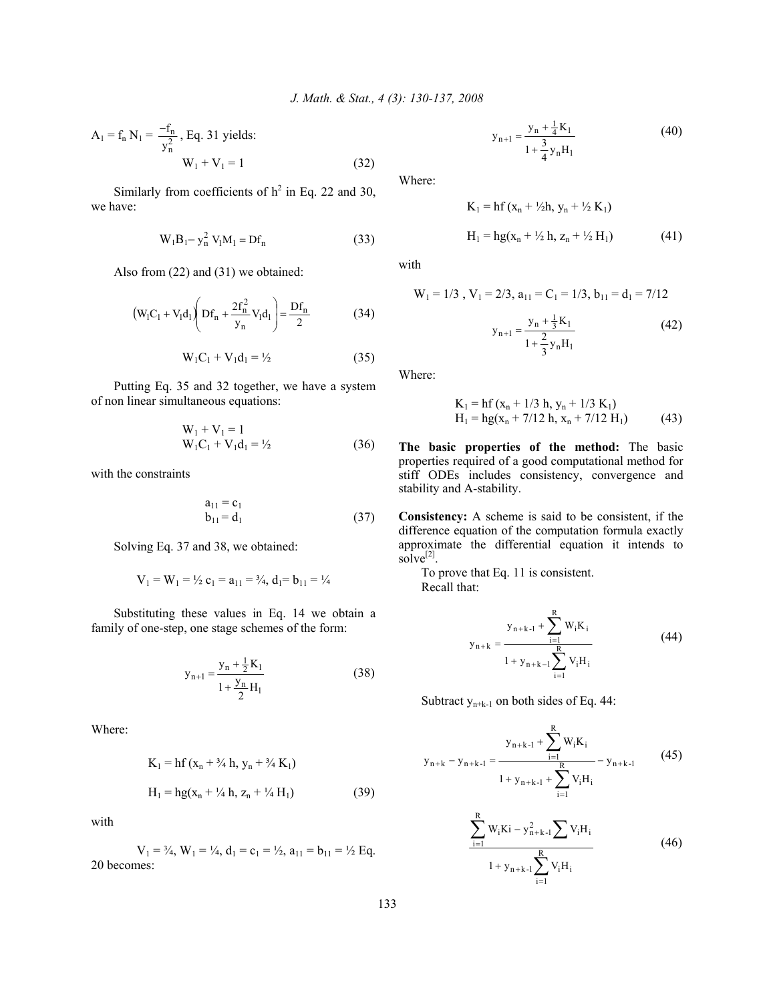$$
A_1 = f_n N_1 = \frac{-f_n}{y_n^2}, Eq. 31 yields:W_1 + V_1 = 1
$$
 (32)

Similarly from coefficients of  $h^2$  in Eq. 22 and 30, we have:

$$
W_1B_1 - y_n^2 V_1M_1 = DF_n
$$
 (33)

Also from (22) and (31) we obtained:

$$
(W_1C_1 + V_1d_1)\left(Df_n + \frac{2f_n^2}{y_n}V_1d_1\right) = \frac{Df_n}{2}
$$
 (34)

$$
W_1C_1 + V_1d_1 = \frac{1}{2} \tag{35}
$$

 Putting Eq. 35 and 32 together, we have a system of non linear simultaneous equations:

$$
W_1 + V_1 = 1
$$
  
 
$$
W_1C_1 + V_1d_1 = \frac{1}{2}
$$
 (36)

with the constraints

$$
a_{11} = c_1 b_{11} = d_1
$$
 (37)

Solving Eq. 37 and 38, we obtained:

$$
V_1 = W_1 = \frac{1}{2} c_1 = a_{11} = \frac{3}{4}, d_1 = b_{11} = \frac{1}{4}
$$

 Substituting these values in Eq. 14 we obtain a family of one-step, one stage schemes of the form:

$$
y_{n+1} = \frac{y_n + \frac{1}{2}K_1}{1 + \frac{y_n}{2}H_1}
$$
 (38)

Where:

$$
K_1 = hf(x_n + \frac{3}{4}h, y_n + \frac{3}{4}K_1)
$$
  
H<sub>1</sub> = hg(x<sub>n</sub> + \frac{1}{4}h, z\_n + \frac{1}{4}H\_1) (39)

with

 $V_1 = \frac{3}{4}$ ,  $W_1 = \frac{1}{4}$ ,  $d_1 = c_1 = \frac{1}{2}$ ,  $a_{11} = b_{11} = \frac{1}{2}$  Eq. 20 becomes:

$$
y_{n+1} = \frac{y_n + \frac{1}{4}K_1}{1 + \frac{3}{4}y_nH_1}
$$
 (40)

Where:

$$
K_1 = hf(x_n + \frac{1}{2}h, y_n + \frac{1}{2}K_1)
$$
  
H<sub>1</sub> = hg(x<sub>n</sub> + \frac{1}{2}h, z\_n + \frac{1}{2}H\_1) (41)

with

$$
W_1 = 1/3, V_1 = 2/3, a_{11} = C_1 = 1/3, b_{11} = d_1 = 7/12
$$
  

$$
y_{n+1} = \frac{y_n + \frac{1}{3}K_1}{1 + \frac{2}{3}y_nH_1}
$$
(42)

Where:

$$
K_1 = hf(x_n + 1/3 h, y_n + 1/3 K_1)
$$
  
H<sub>1</sub> = hg(x<sub>n</sub> + 7/12 h, x<sub>n</sub> + 7/12 H<sub>1</sub>) (43)

**The basic properties of the method:** The basic properties required of a good computational method for stiff ODEs includes consistency, convergence and stability and A-stability.

**Consistency:** A scheme is said to be consistent, if the difference equation of the computation formula exactly approximate the differential equation it intends to solve $^{[2]}$ .

 To prove that Eq. 11 is consistent. Recall that:

$$
y_{n+k} = \frac{y_{n+k-1} + \sum_{i=1}^{R} W_i K_i}{1 + y_{n+k-1} \sum_{i=1}^{R} V_i H_i}
$$
(44)

Subtract  $y_{n+k-1}$  on both sides of Eq. 44:

$$
y_{n+k} - y_{n+k-1} = \frac{y_{n+k-1} + \sum_{i=1}^{R} w_i K_i}{1 + y_{n+k-1} + \sum_{i=1}^{R} V_i H_i} - y_{n+k-1}
$$
(45)

$$
\frac{\sum_{i=1}^{R} W_{i}Ki - y_{n+k-1}^{2} \sum V_{i}H_{i}}{1 + y_{n+k-1} \sum_{i=1}^{R} V_{i}H_{i}}
$$
(46)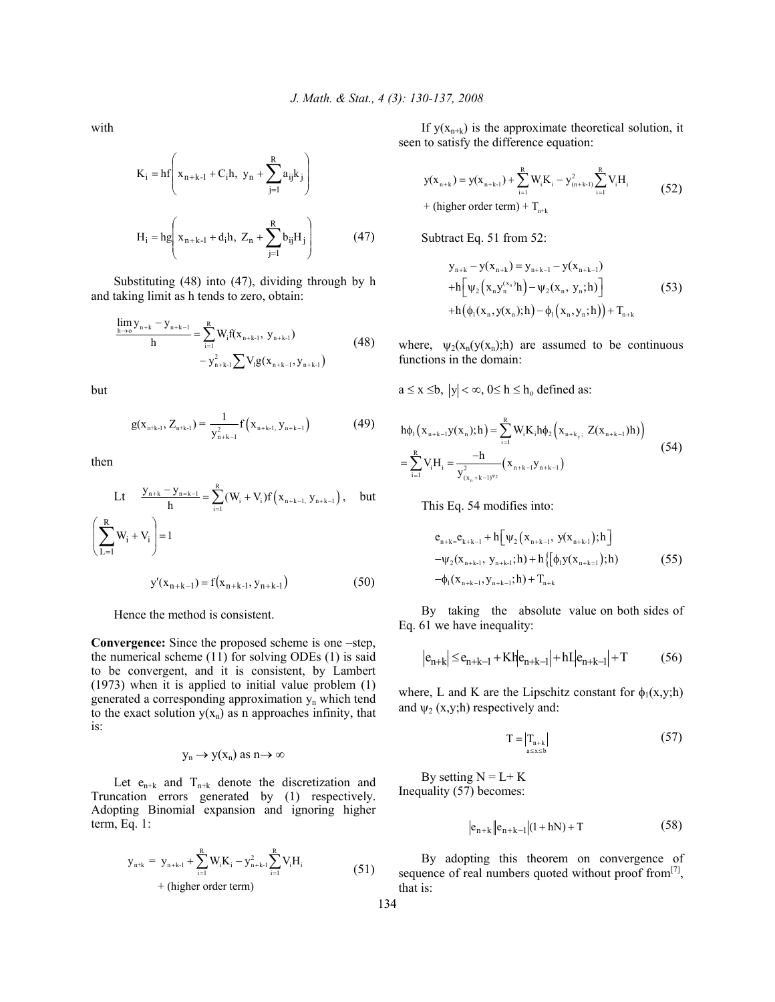with

$$
K_{i} = hf \left( x_{n+k-1} + C_{i}h, y_{n} + \sum_{j=1}^{R} a_{ij}k_{j} \right)
$$
  

$$
H_{i} = hg \left( x_{n+k-1} + d_{i}h, Z_{n} + \sum_{j=1}^{R} b_{ij}H_{j} \right)
$$
(47)

 Substituting (48) into (47), dividing through by h and taking limit as h tends to zero, obtain:

$$
\frac{\lim_{h \to 0} y_{n+k} - y_{n+k-1}}{h} = \sum_{i=1}^{R} W_i f(x_{n+k-1}, y_{n+k-1}) - y_{n+k-1}^2 \sum_{j=1}^{R} V_j g(x_{n+k-1}, y_{n+k-1})
$$
(48)

but

$$
g(x_{n+k-1}, Z_{n+k-1}) = \frac{1}{y_{n+k-1}^2} f(x_{n+k-1}, y_{n+k-1})
$$
(49)

then

$$
Lt \quad \frac{y_{n+k} - y_{n-k-1}}{h} = \sum_{i=1}^{R} (W_i + V_i) f(x_{n+k-1}, y_{n+k-1}), \quad \text{but}
$$
\n
$$
\left(\sum_{L=1}^{R} W_i + V_i\right) = 1
$$
\n
$$
y'(x_{n+k-1}) = f(x_{n+k-1}, y_{n+k-1}) \tag{50}
$$

Hence the method is consistent.

**Convergence:** Since the proposed scheme is one –step, the numerical scheme (11) for solving ODEs (1) is said to be convergent, and it is consistent, by Lambert (1973) when it is applied to initial value problem (1) generated a corresponding approximation yn which tend to the exact solution  $y(x_n)$  as n approaches infinity, that is:

# $y_n \to y(x_n)$  as  $n \to \infty$

Let  $e_{n+k}$  and  $T_{n+k}$  denote the discretization and Truncation errors generated by (1) respectively. Adopting Binomial expansion and ignoring higher term, Eq. 1:

$$
y_{n+k} = y_{n+k-1} + \sum_{i=1}^{R} W_i K_i - y_{n+k-1}^2 \sum_{i=1}^{R} V_i H_i
$$
  
+ (higher order term) (51)

If  $y(x_{n+k})$  is the approximate theoretical solution, it seen to satisfy the difference equation:

$$
y(x_{n+k}) = y(x_{n+k-1}) + \sum_{i=1}^{R} W_i K_i - y_{(n+k-1)}^2 \sum_{i=1}^{R} V_i H_i
$$
  
+ (higher order term) + T<sub>n+k</sub> (52)

Subtract Eq. 51 from 52:

$$
y_{n+k} - y(x_{n+k}) = y_{n+k-1} - y(x_{n+k-1})
$$
  
+h[ $\Psi_2$ ( $x_n y_n^{(x_n)} h$ ) –  $\Psi_2$ ( $x_n, y_n; h$ )]  
+h( $\phi_1$ ( $x_n, y(x_n); h$ ) –  $\phi_1$ ( $x_n, y_n; h$ )) + T<sub>n+k</sub> (53)

where,  $\psi_2(x_n(y(x_n))h)$  are assumed to be continuous functions in the domain:

 $a \le x \le b$ ,  $|y| < \infty$ ,  $0 \le h \le h_0$  defined as:

$$
h\phi_{1}(x_{n+k-1}y(x_{n});h) = \sum_{i=1}^{R} W_{i}K_{i}h\phi_{2}(x_{n+k_{y};} Z(x_{n+k-1})h)
$$
  
= 
$$
\sum_{i=1}^{R} V_{i}H_{i} = \frac{-h}{y_{(x_{n}+k-1)}^{2}y_{2}} (x_{n+k-1}y_{n+k-1})
$$
 (54)

This Eq. 54 modifies into:

$$
e_{n+k} = e_{k+k-1} + h \left[ \psi_2 \left( x_{n+k-1}, y(x_{n+k-1}), h \right) \right]
$$
  
-
$$
\psi_2(x_{n+k-1}, y_{n+k-1}; h) + h \left\{ \left[ \phi_1 y(x_{n+k-1}), h \right) \right\}
$$
  
-
$$
\phi_1(x_{n+k-1}, y_{n+k-1}; h) + T_{n+k}
$$
 (55)

 By taking the absolute value on both sides of Eq. 61 we have inequality:

$$
|e_{n+k}| \le e_{n+k-1} + Kh|e_{n+k-1}| + hI|e_{n+k-1}| + T
$$
 (56)

where, L and K are the Lipschitz constant for  $\phi_1(x,y;h)$ and  $\psi_2$  (x,y;h) respectively and:

$$
T = \left| T_{n+k} \right| \tag{57}
$$

By setting  $N = L + K$ Inequality (57) becomes:

$$
|e_{n+k}||e_{n+k-1}|(1+hN) + T
$$
 (58)

 By adopting this theorem on convergence of sequence of real numbers quoted without proof from  $[7]$ , that is:

134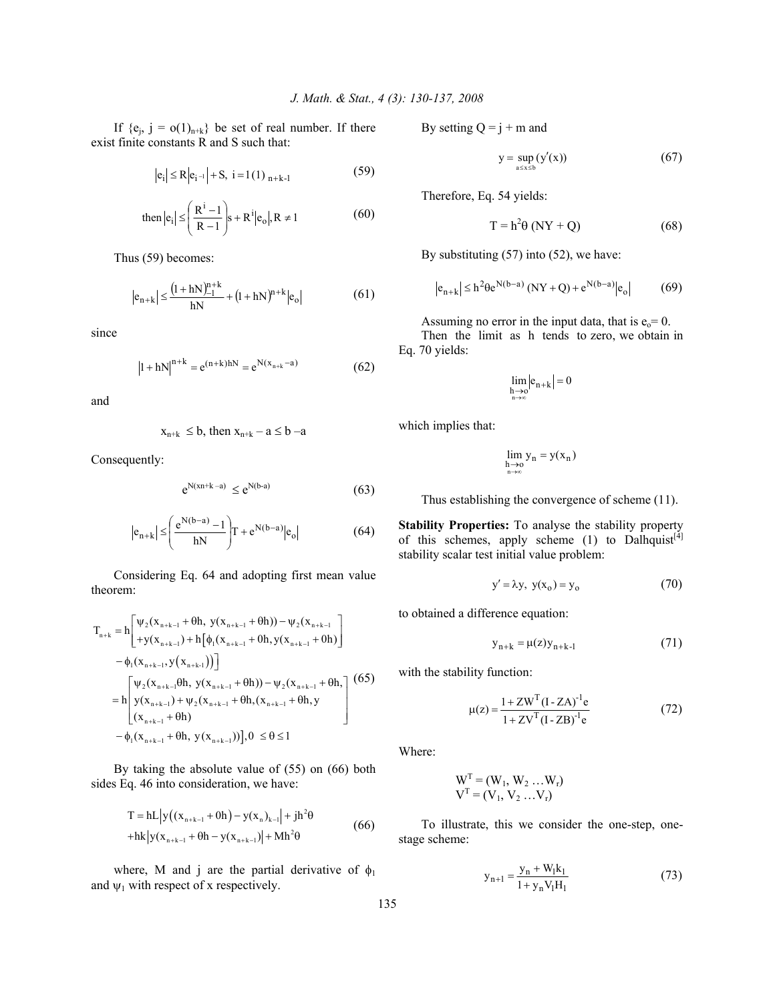If  ${e_i, j = o(1)_{n+k}}$  be set of real number. If there exist finite constants R and S such that:

$$
|e_i| \le R |e_{i^{-1}}| + S, i = 1(1)_{n+k-1}
$$
 (59)

then 
$$
|e_i| \le \left(\frac{R^i - 1}{R - 1}\right) s + R^i |e_o|, R \ne 1
$$
 (60)

Thus (59) becomes:

$$
|e_{n+k}| \le \frac{(1+hN)_{-1}^{n+k}}{hN} + (1+hN)^{n+k} |e_o|
$$
 (61)

since

$$
|1 + hN|^{n+k} = e^{(n+k)hN} = e^{N(x_{n+k} - a)}
$$
 (62)

and

$$
x_{n+k} \leq b, \text{ then } x_{n+k} - a \leq b - a
$$

Consequently:

$$
e^{N(xn+k-a)} \le e^{N(b-a)} \tag{63}
$$

$$
|e_{n+k}| \le \left(\frac{e^{N(b-a)} - 1}{hN}\right)T + e^{N(b-a)}|e_o|
$$
 (64)

 Considering Eq. 64 and adopting first mean value theorem:

$$
T_{n+k} = h \left[ \begin{array}{l} \psi_2(x_{n+k-1} + \theta h, y(x_{n+k-1} + \theta h)) - \psi_2(x_{n+k-1} \\ + y(x_{n+k-1}) + h \left[ \phi_1(x_{n+k-1} + 0 h, y(x_{n+k-1} + 0 h) \right] \\ - \phi_1(x_{n+k-1}, y(x_{n+k-1})) \right] \\ = h \left[ \begin{array}{l} \psi_2(x_{n+k-1} + \theta h, y(x_{n+k-1} + \theta h)) - \psi_2(x_{n+k-1} + \theta h, \\ y(x_{n+k-1}) + \psi_2(x_{n+k-1} + \theta h, (x_{n+k-1} + \theta h, y \\ (x_{n+k-1} + \theta h) \end{array} \right] \tag{65} \\ - \phi_1(x_{n+k-1} + \theta h, y(x_{n+k-1})) \right], 0 \le \theta \le 1
$$

 By taking the absolute value of (55) on (66) both sides Eq. 46 into consideration, we have:

$$
T = hL|y((x_{n+k-1} + 0h) - y(x_n)_{k-1}| + jh^2\theta
$$
  
+hk|y(x\_{n+k-1} + 0h - y(x\_{n+k-1})| + Mh^2\theta (66)

where, M and j are the partial derivative of  $\phi_1$ and  $\psi_1$  with respect of x respectively.

By setting  $Q = j + m$  and

$$
y = \sup_{a \le x \le b} (y'(x)) \tag{67}
$$

Therefore, Eq. 54 yields:

$$
T = h^2 \theta (NY + Q)
$$
 (68)

By substituting (57) into (52), we have:

$$
|e_{n+k}| \le h^2 \theta e^{N(b-a)} (NY+Q) + e^{N(b-a)} |e_o|
$$
 (69)

Assuming no error in the input data, that is  $e_0 = 0$ .

 Then the limit as h tends to zero, we obtain in Eq. 70 yields:

$$
\lim_{\substack{h\to 0\\ n\to\infty}}\Bigl|e_{n+k}\Bigr|=0
$$

which implies that:

$$
\lim_{\substack{h\to 0\\ n\to\infty}}y_n=y(x_n)
$$

Thus establishing the convergence of scheme (11).

**Stability Properties:** To analyse the stability property of this schemes, apply scheme  $(1)$  to Dalhquist<sup>[4]</sup> stability scalar test initial value problem:

$$
y' = \lambda y, \ y(x_0) = y_0 \tag{70}
$$

to obtained a difference equation:

$$
y_{n+k} = \mu(z)y_{n+k-1}
$$
 (71)

with the stability function:

$$
\mu(z) = \frac{1 + ZW^{T}(I - ZA)^{-1}e}{1 + ZV^{T}(I - ZB)^{-1}e}
$$
(72)

Where:

$$
WT = (W1, W2 ... Wr) VT = (V1, V2 ... Vr)
$$

 To illustrate, this we consider the one-step, onestage scheme:

$$
y_{n+1} = \frac{y_n + W_1 k_1}{1 + y_n V_1 H_1}
$$
 (73)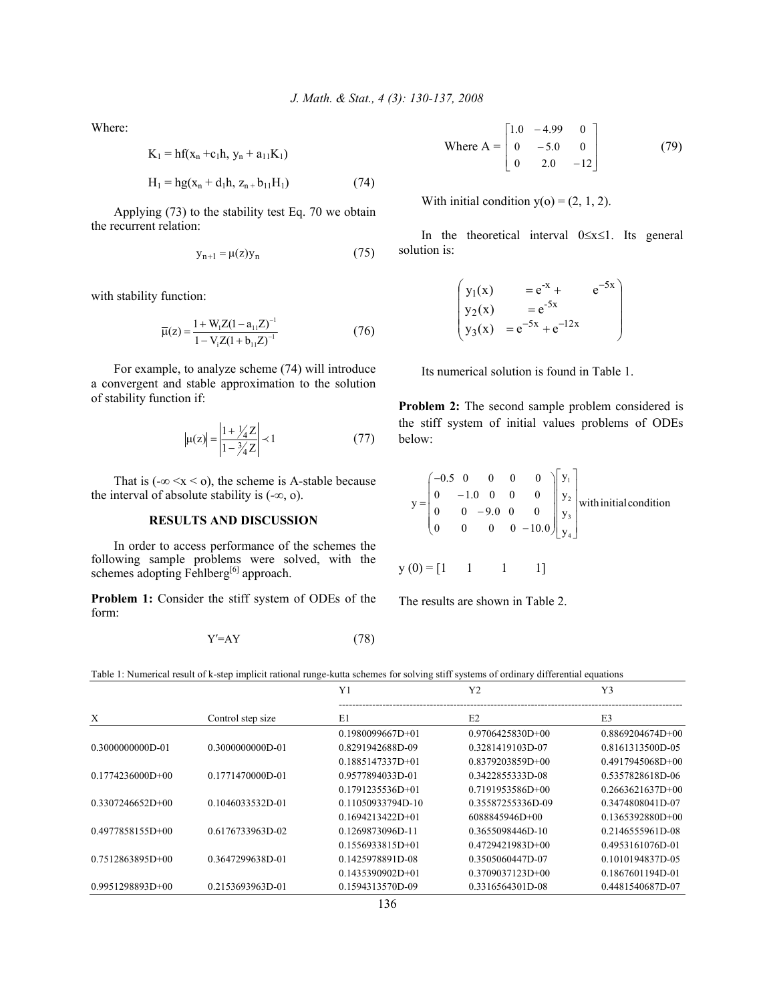Where:

$$
K_1 = hf(x_n + c_1h, y_n + a_{11}K_1)
$$
  
H<sub>1</sub> = hg(x<sub>n</sub> + d<sub>1</sub>h, z<sub>n</sub> + b<sub>11</sub>H<sub>1</sub>) (74)

$$
1 \t O(\t n^{-(n+1)(n+1)} t) \t (1-t)
$$

 Applying (73) to the stability test Eq. 70 we obtain the recurrent relation:

$$
y_{n+1} = \mu(z)y_n \tag{75}
$$

with stability function:

$$
\overline{\mu}(z) = \frac{1 + W_1 Z (1 - a_{11} Z)^{-1}}{1 - V_1 Z (1 + b_{11} Z)^{-1}}
$$
(76)

 For example, to analyze scheme (74) will introduce a convergent and stable approximation to the solution of stability function if:

$$
|\mu(z)| = \left| \frac{1 + \frac{1}{4}z}{1 - \frac{3}{4}z} \right| \prec 1 \tag{77}
$$

That is  $(-\infty \le x \le 0)$ , the scheme is A-stable because the interval of absolute stability is  $(-\infty, \infty)$ .

### **RESULTS AND DISCUSSION**

In order to access performance of the schemes the following sample problems were solved, with the schemes adopting Fehlberg<sup>[6]</sup> approach.

**Problem 1:** Consider the stiff system of ODEs of the form:

$$
Y' = AY \tag{78}
$$

Where 
$$
A = \begin{bmatrix} 1.0 & -4.99 & 0 \\ 0 & -5.0 & 0 \\ 0 & 2.0 & -12 \end{bmatrix}
$$
 (79)

With initial condition  $y(0) = (2, 1, 2)$ .

 In the theoretical interval 0≤x≤1. Its general solution is:

$$
\begin{pmatrix}\ny_1(x) &= e^{-x} + e^{-5x} \\
y_2(x) &= e^{-5x} \\
y_3(x) &= e^{-5x} + e^{-12x}\n\end{pmatrix}
$$

Its numerical solution is found in Table 1.

**Problem 2:** The second sample problem considered is the stiff system of initial values problems of ODEs below:

$$
y = \begin{pmatrix}\n-0.5 & 0 & 0 & 0 & 0 \\
0 & -1.0 & 0 & 0 & 0 \\
0 & 0 & -9.0 & 0 & 0 \\
0 & 0 & 0 & 0 & -10.0\n\end{pmatrix}\n\begin{pmatrix}\ny_1 \\
y_2 \\
y_3 \\
y_4\n\end{pmatrix}
$$
 with initial condition

$$
y(0) = \begin{bmatrix} 1 & 1 & 1 & 1 \end{bmatrix}
$$

The results are shown in Table 2.

Table 1: Numerical result of k-step implicit rational runge-kutta schemes for solving stiff systems of ordinary differential equations

|                    |                   | Y1                 | Y <sub>2</sub>     | Y3                   |  |
|--------------------|-------------------|--------------------|--------------------|----------------------|--|
| X                  | Control step size | E1                 | E2                 | E <sub>3</sub>       |  |
|                    |                   | $0.1980099667D+01$ | $0.9706425830D+00$ | $0.8869204674D+00$   |  |
| 0.3000000000D-01   | 0.3000000000D-01  | 0.8291942688D-09   | 0.3281419103D-07   | 0.8161313500D-05     |  |
|                    |                   | $0.1885147337D+01$ | $0.8379203859D+00$ | $0.4917945068D + 00$ |  |
| $0.1774236000D+00$ | 0.1771470000D-01  | 0.9577894033D-01   | 0.3422855333D-08   | 0.5357828618D-06     |  |
|                    |                   | $0.1791235536D+01$ | $0.7191953586D+00$ | $0.2663621637D+00$   |  |
| $0.3307246652D+00$ | 0.1046033532D-01  | 0.11050933794D-10  | 0.35587255336D-09  | 0.3474808041D-07     |  |
|                    |                   | $0.1694213422D+01$ | 6088845946D+00     | $0.1365392880D+00$   |  |
| $0.4977858155D+00$ | 0.6176733963D-02  | 0.1269873096D-11   | 0.3655098446D-10   | 0.2146555961D-08     |  |
|                    |                   | $0.1556933815D+01$ | $0.4729421983D+00$ | 0.4953161076D-01     |  |
| $0.7512863895D+00$ | 0.3647299638D-01  | 0.1425978891D-08   | 0.3505060447D-07   | 0.1010194837D-05     |  |
|                    |                   | $0.1435390902D+01$ | $0.3709037123D+00$ | 0.1867601194D-01     |  |
| $0.9951298893D+00$ | 0.2153693963D-01  | 0.1594313570D-09   | 0.3316564301D-08   | 0.4481540687D-07     |  |